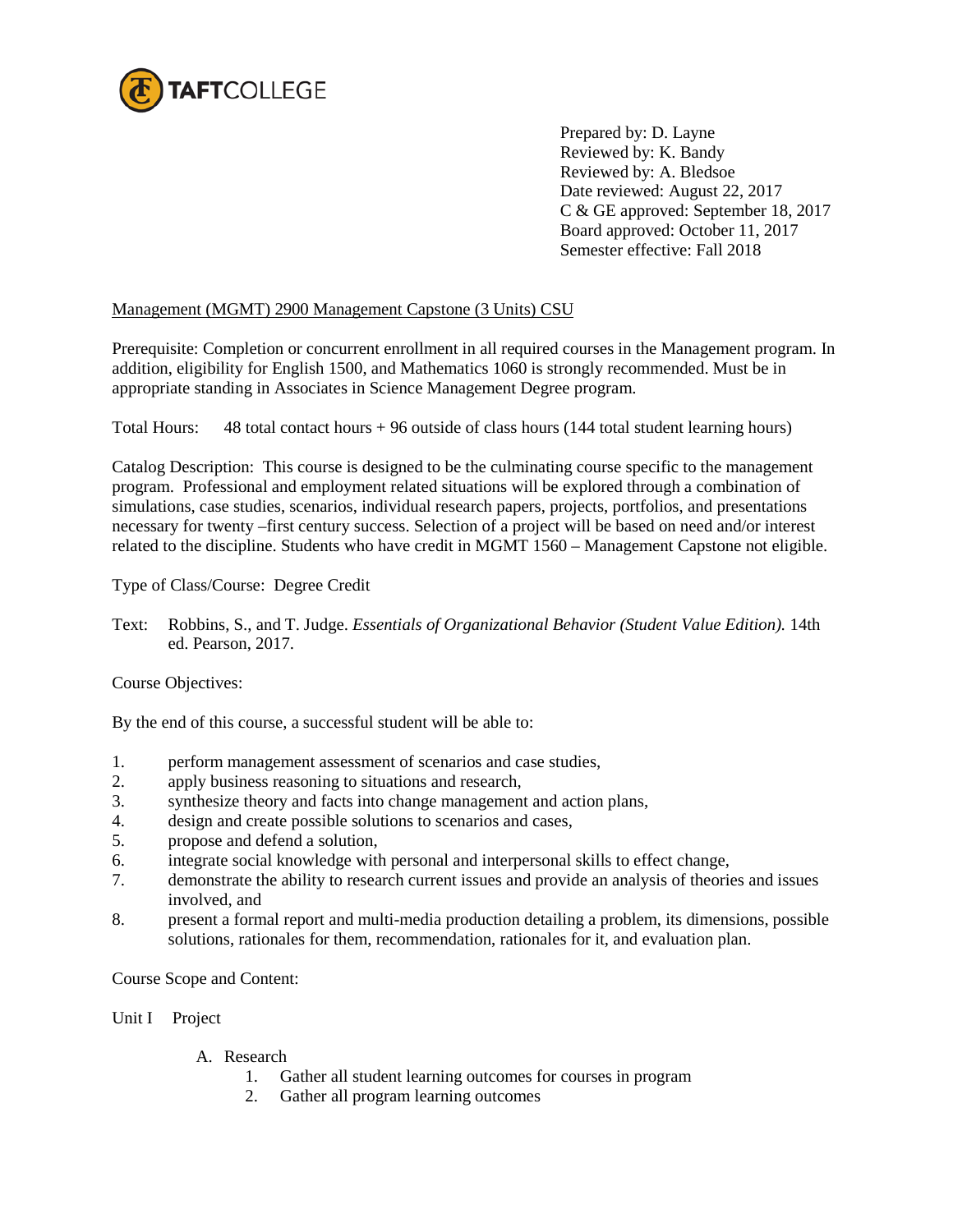

Prepared by: D. Layne Reviewed by: K. Bandy Reviewed by: A. Bledsoe Date reviewed: August 22, 2017 C & GE approved: September 18, 2017 Board approved: October 11, 2017 Semester effective: Fall 2018

## Management (MGMT) 2900 Management Capstone (3 Units) CSU

Prerequisite: Completion or concurrent enrollment in all required courses in the Management program. In addition, eligibility for English 1500, and Mathematics 1060 is strongly recommended. Must be in appropriate standing in Associates in Science Management Degree program.

Total Hours: 48 total contact hours + 96 outside of class hours (144 total student learning hours)

Catalog Description: This course is designed to be the culminating course specific to the management program. Professional and employment related situations will be explored through a combination of simulations, case studies, scenarios, individual research papers, projects, portfolios, and presentations necessary for twenty –first century success. Selection of a project will be based on need and/or interest related to the discipline. Students who have credit in MGMT 1560 – Management Capstone not eligible.

Type of Class/Course: Degree Credit

Text: Robbins, S., and T. Judge. *Essentials of Organizational Behavior (Student Value Edition).* 14th ed. Pearson, 2017.

Course Objectives:

By the end of this course, a successful student will be able to:

- 1. perform management assessment of scenarios and case studies,<br>2. annly business reasoning to situations and research.
- apply business reasoning to situations and research,
- 3. synthesize theory and facts into change management and action plans,
- 4. design and create possible solutions to scenarios and cases,
- 5. propose and defend a solution,
- 6. integrate social knowledge with personal and interpersonal skills to effect change,
- 7. demonstrate the ability to research current issues and provide an analysis of theories and issues involved, and
- 8. present a formal report and multi-media production detailing a problem, its dimensions, possible solutions, rationales for them, recommendation, rationales for it, and evaluation plan.

Course Scope and Content:

Unit I Project

- A. Research
	- 1. Gather all student learning outcomes for courses in program
	- 2. Gather all program learning outcomes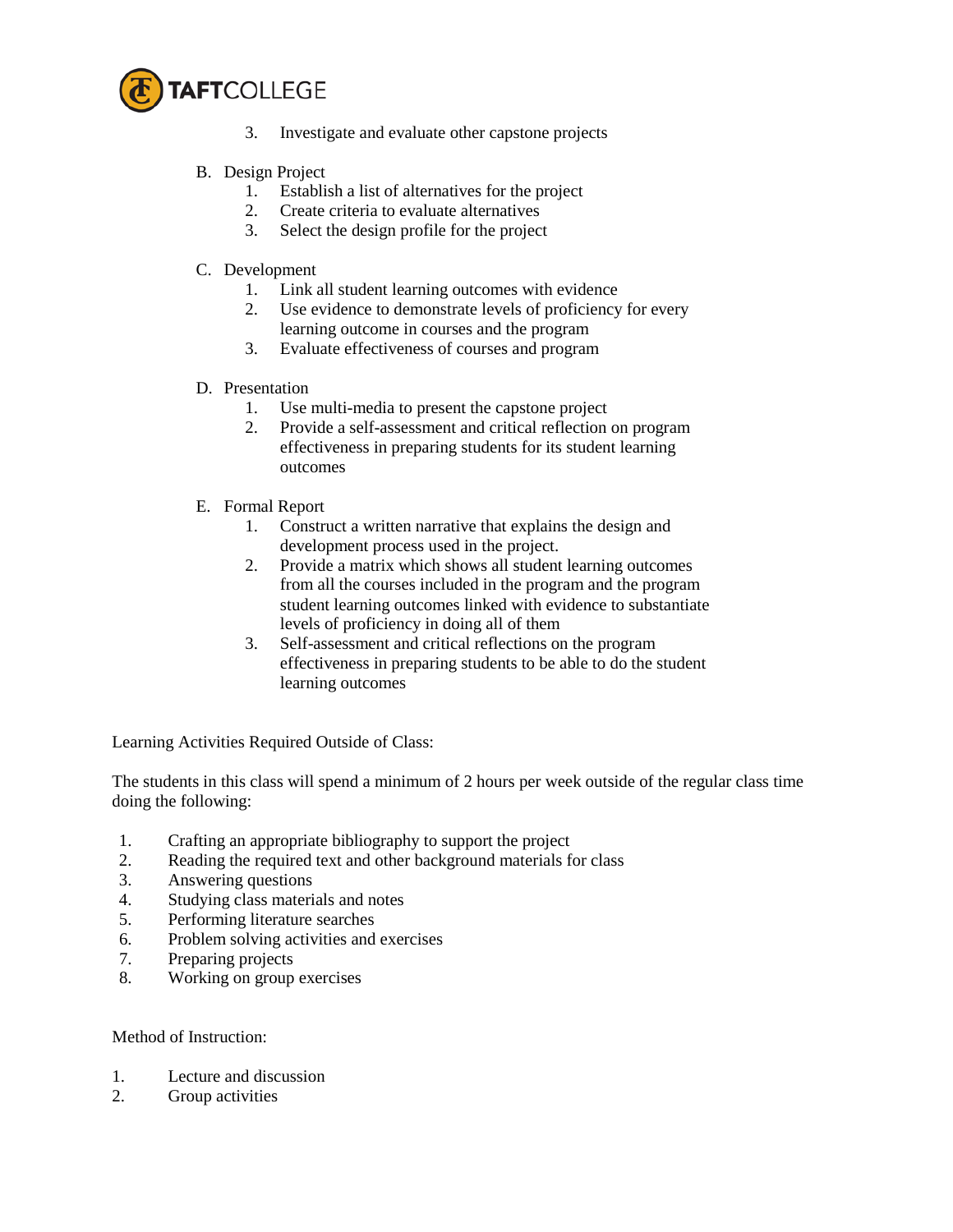

- 3. Investigate and evaluate other capstone projects
- B. Design Project
	- 1. Establish a list of alternatives for the project
	- 2. Create criteria to evaluate alternatives
	- 3. Select the design profile for the project
- C. Development
	- 1. Link all student learning outcomes with evidence
	- 2. Use evidence to demonstrate levels of proficiency for every learning outcome in courses and the program
	- 3. Evaluate effectiveness of courses and program
- D. Presentation
	- 1. Use multi-media to present the capstone project
	- 2. Provide a self-assessment and critical reflection on program effectiveness in preparing students for its student learning outcomes
- E. Formal Report
	- 1. Construct a written narrative that explains the design and development process used in the project.
	- 2. Provide a matrix which shows all student learning outcomes from all the courses included in the program and the program student learning outcomes linked with evidence to substantiate levels of proficiency in doing all of them
	- 3. Self-assessment and critical reflections on the program effectiveness in preparing students to be able to do the student learning outcomes

Learning Activities Required Outside of Class:

The students in this class will spend a minimum of 2 hours per week outside of the regular class time doing the following:

- 1. Crafting an appropriate bibliography to support the project
- 2. Reading the required text and other background materials for class
- 3. Answering questions
- 4. Studying class materials and notes
- 5. Performing literature searches
- 6. Problem solving activities and exercises
- 7. Preparing projects
- 8. Working on group exercises

## Method of Instruction:

- 1. Lecture and discussion
- 2. Group activities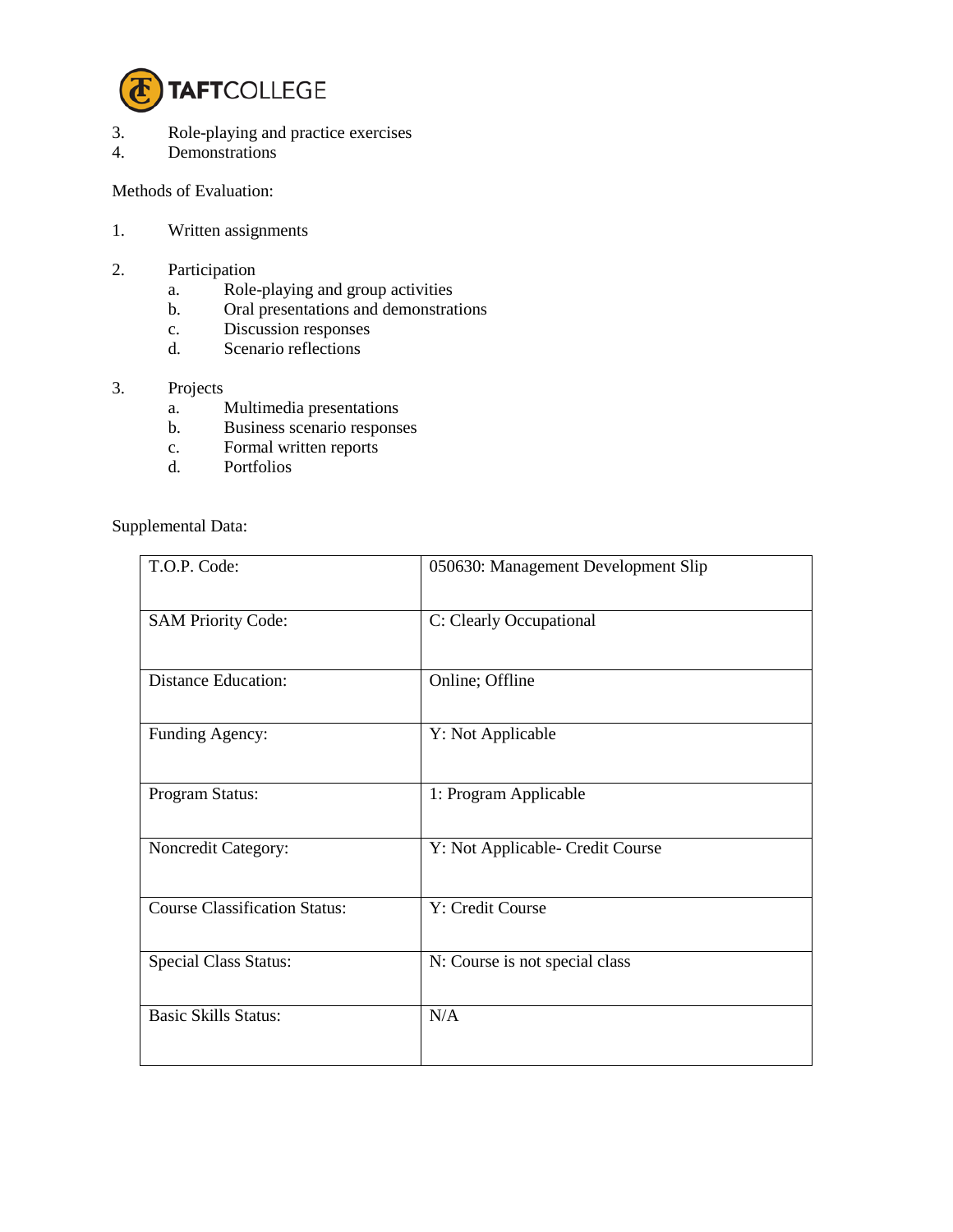

- 3. Role-playing and practice exercises<br>4. Demonstrations
- Demonstrations

Methods of Evaluation:

- 1. Written assignments
- 2. Participation
	- a. Role-playing and group activities
	- b. Oral presentations and demonstrations
	- c. Discussion responses
	- d. Scenario reflections

## 3. Projects

- a. Multimedia presentations
- b. Business scenario responses
- c. Formal written reports<br>d. Portfolios
- Portfolios

Supplemental Data:

| T.O.P. Code:                         | 050630: Management Development Slip |
|--------------------------------------|-------------------------------------|
| <b>SAM Priority Code:</b>            | C: Clearly Occupational             |
| <b>Distance Education:</b>           | Online; Offline                     |
| Funding Agency:                      | Y: Not Applicable                   |
| Program Status:                      | 1: Program Applicable               |
| Noncredit Category:                  | Y: Not Applicable- Credit Course    |
| <b>Course Classification Status:</b> | Y: Credit Course                    |
| <b>Special Class Status:</b>         | N: Course is not special class      |
| <b>Basic Skills Status:</b>          | N/A                                 |